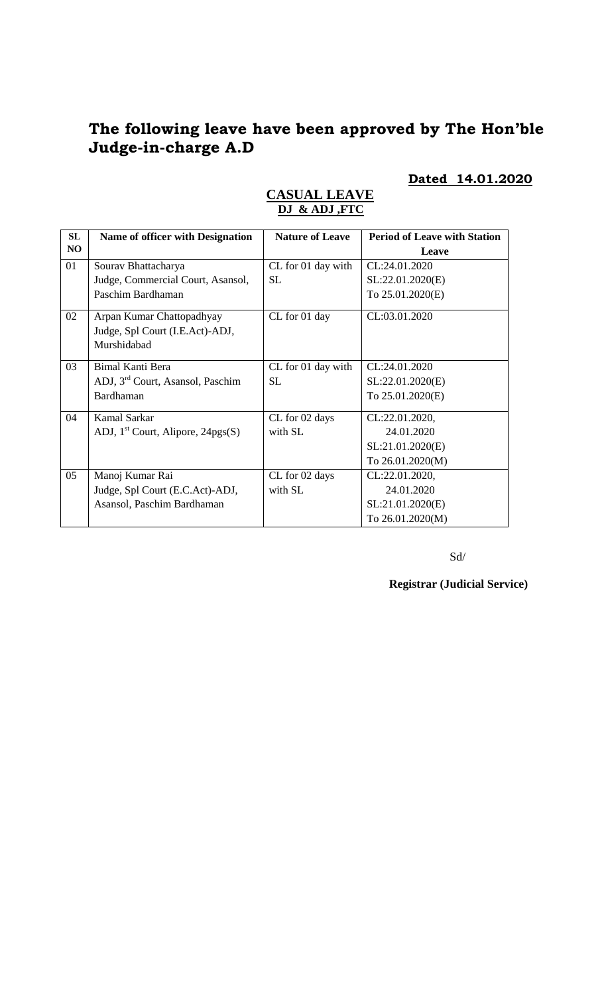# **The following leave have been approved by The Hon'ble Judge-in-charge A.D**

# **Dated 14.01.2020**

| SL | <b>Name of officer with Designation</b>                                     | <b>Nature of Leave</b> | <b>Period of Leave with Station</b> |
|----|-----------------------------------------------------------------------------|------------------------|-------------------------------------|
| NO |                                                                             |                        | Leave                               |
| 01 | Sourav Bhattacharya                                                         | CL for 01 day with     | CL:24.01.2020                       |
|    | Judge, Commercial Court, Asansol,                                           | SL.                    | SL:22.01.2020(E)                    |
|    | Paschim Bardhaman                                                           |                        | To 25.01.2020(E)                    |
| 02 | Arpan Kumar Chattopadhyay<br>Judge, Spl Court (I.E.Act)-ADJ,<br>Murshidabad | CL for 01 day          | CL:03.01.2020                       |
| 03 | <b>Bimal Kanti Bera</b>                                                     | CL for 01 day with     | CL:24.01.2020                       |
|    | ADJ, 3 <sup>rd</sup> Court, Asansol, Paschim                                | <b>SL</b>              | SL:22.01.2020(E)                    |
|    | Bardhaman                                                                   |                        | To 25.01.2020(E)                    |
| 04 | <b>Kamal Sarkar</b>                                                         | CL for 02 days         | CL:22.01.2020,                      |
|    | ADJ, $1st$ Court, Alipore, 24pgs(S)                                         | with SL                | 24.01.2020                          |
|    |                                                                             |                        | SL:21.01.2020(E)                    |
|    |                                                                             |                        | To 26.01.2020(M)                    |
| 05 | Manoj Kumar Rai                                                             | CL for 02 days         | CL:22.01.2020,                      |
|    | Judge, Spl Court (E.C.Act)-ADJ,                                             | with SL                | 24.01.2020                          |
|    | Asansol, Paschim Bardhaman                                                  |                        | SL:21.01.2020(E)                    |
|    |                                                                             |                        | To 26.01.2020(M)                    |

### **CASUAL LEAVE DJ & ADJ ,FTC**

Sd/

**Registrar (Judicial Service)**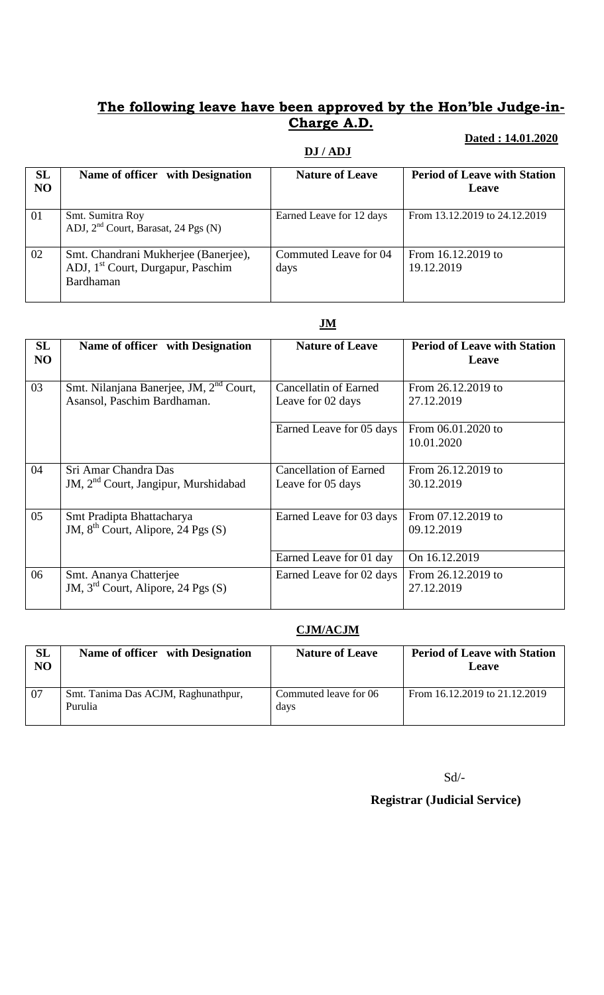## **The following leave have been approved by the Hon'ble Judge-in-Charge A.D.**

### **DJ / ADJ**

#### **Dated : 14.01.2020**

| SL<br>N <sub>O</sub> | Name of officer with Designation                                                                          | <b>Nature of Leave</b>        | <b>Period of Leave with Station</b><br>Leave |
|----------------------|-----------------------------------------------------------------------------------------------------------|-------------------------------|----------------------------------------------|
| 01                   | Smt. Sumitra Roy<br>ADJ, 2 <sup>nd</sup> Court, Barasat, 24 Pgs (N)                                       | Earned Leave for 12 days      | From 13.12.2019 to 24.12.2019                |
| 02                   | Smt. Chandrani Mukherjee (Banerjee),<br>ADJ, 1 <sup>st</sup> Court, Durgapur, Paschim<br><b>Bardhaman</b> | Commuted Leave for 04<br>days | From 16.12.2019 to<br>19.12.2019             |

## **JM**

| <b>SL</b><br>NO | Name of officer with Designation                                                   | <b>Nature of Leave</b>                             | <b>Period of Leave with Station</b><br>Leave |
|-----------------|------------------------------------------------------------------------------------|----------------------------------------------------|----------------------------------------------|
| 03              | Smt. Nilanjana Banerjee, JM, 2 <sup>nd</sup> Court,<br>Asansol, Paschim Bardhaman. | Cancellatin of Earned<br>Leave for 02 days         | From 26.12.2019 to<br>27.12.2019             |
|                 |                                                                                    | Earned Leave for 05 days                           | From 06.01.2020 to<br>10.01.2020             |
| 04              | Sri Amar Chandra Das<br>JM, 2 <sup>nd</sup> Court, Jangipur, Murshidabad           | <b>Cancellation of Earned</b><br>Leave for 05 days | From 26.12.2019 to<br>30.12.2019             |
| 05              | Smt Pradipta Bhattacharya<br>JM, $8^{th}$ Court, Alipore, 24 Pgs (S)               | Earned Leave for 03 days                           | From 07.12.2019 to<br>09.12.2019             |
|                 |                                                                                    | Earned Leave for 01 day                            | On 16.12.2019                                |
| 06              | Smt. Ananya Chatterjee<br>JM, $3rd$ Court, Alipore, 24 Pgs (S)                     | Earned Leave for 02 days                           | From 26.12.2019 to<br>27.12.2019             |

#### **CJM/ACJM**

| SL<br>NO | Name of officer with Designation               | <b>Nature of Leave</b>        | <b>Period of Leave with Station</b><br>Leave |
|----------|------------------------------------------------|-------------------------------|----------------------------------------------|
| 07       | Smt. Tanima Das ACJM, Raghunathpur,<br>Purulia | Commuted leave for 06<br>days | From 16.12.2019 to 21.12.2019                |

Sd/-

 **Registrar (Judicial Service)**